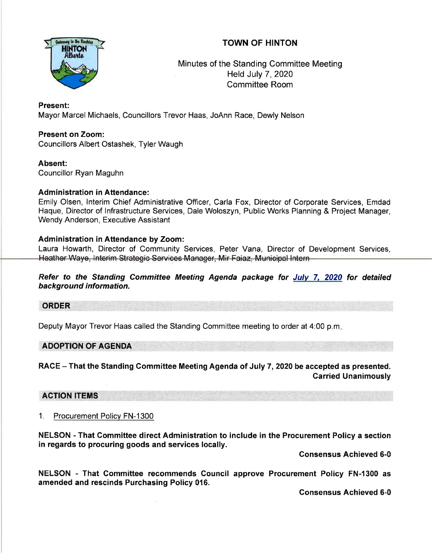# TOWN OF HINTON



Minutes of the Standing Committee Meeting Held July 7,2020 Committee Room

# Present:

Mayor Marcel Michaels, Councillors Trevor Haas, JoAnn Race, Dewly Nelson

# Present on Zoom:

Councillors Albert Ostashek, Tyler Waugh

### Absent:

Councillor Ryan Maguhn

# Administration in Attendance:

Emily Olsen, lnterim Chief Administrative Officer, Carla Fox, Director of Corporate Services, Emdad Haque, Director of lnfrastructure Services, Dale Woloszyn, Public Works Planning & Project Manager, Wendy Anderson, Executive Assistant

# Administration in Attendance by Zoom:

Laura Howarth, Director of Community Services, Peter Vana, Director of Development Services, Heather Waye, Interim Strategic Services Manager, Mir Faiaz, Municipal Intern-

Refer to the Standing Committee Meeting Agenda package for Julv 7, 2020 for detailed background information.

### ORDER

Deputy Mayor Trevor Haas called the Standing Committee meeting to order at 4:00 p.m

### ADOPTION OF AGENDA

RACE - That the Standing Committee Meeting Agenda of July 7, 2020 be accepted as presented. Carried Unanimously

ACTION ITEMS

1. Procurement Policv FN-1300

NELSON - That Committee direct Administration to include in the Procurement Policy a section in regards to procuring goods and services locally.

Gonsensus Achieved 6-0

NELSON - That Committee recommends Council approve Procurement Policy FN-l300 as amended and rescinds Purchasing Policy 016.

Gonsensus Achieved 6-0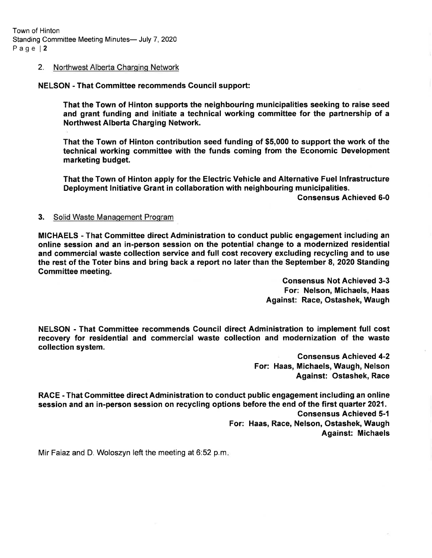#### 2. Northwest Alberta Charging Network

NELSON - That Committee recommends Gouncil support:

That the Town of Hinton supports the neighbouring municipalities seeking to raise seed and grant funding and initiate a technical working committee for the partnership of a Northwest Alberta Charging Network.

That the Town of Hinton contribution seed funding of \$5,000 to support the work of the technical working committee with the funds coming from the Economic Development marketing budget.

That the Town of Hinton apply for the Electric Vehicle and Alternative Fuel lnfrastructure Deployment lnitiative Grant in collaboration with neighbouring municipalities.

Gonsensus Achieved 6-0

#### 3. Solid Waste Management Program

MICHAELS - That Committee direct Administration to conduct public engagement including an online session and an in-person session on the potential change to a modernized residential and commercial waste collection service and full cost recovery excluding recycling and to use the rest of the Toter bins and bring back a report no later than the September 8,2020 Standing Committee meeting.

> Gonsensus Not Achieved 3-3 For: Nelson, Michaels, Haas Against: Race, Ostashek, Waugh

NELSON - That Committee recommends Council direct Administration to implement full cost recovery for residential and commercial waste collection and modernization of the waste collection system.

> Consensus Achieved 4-2 For: Haas, Michaels, Waugh, Nelson Against: Ostashek, Race

RACE - That Committee direct Administration to conduct public engagement including an online session and an in-person session on recycling options before the end of the first quarter 2021. Gonsensus Achieved 5-1

For: Haas, Race, Nelson, Ostashek, Waugh Against: Michaels

Mir Faiaz and D. Woloszyn left the meeting at 6:52 p.m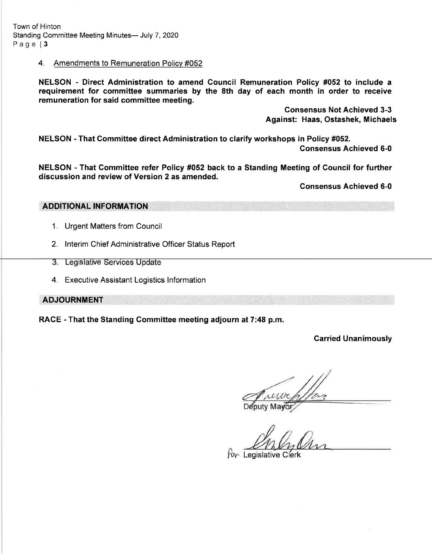Town of Hinton Standing Committee Meeting Minutes- July 7, 2020 Page | 3

#### 4. Amendments to Remuneration Policv #052

NELSON - Direct Administration to amend Gouncil Remuneration Policy #052 to include <sup>a</sup> requirement for commiftee summaries by the 8th day of each month in order to receive remuneration for said committee meeting.

> Consensus Not Achieved 3-3 Against: Haas, Ostashek, Michaels

NELSON - That Committee direct Administration to clarify workshops in Policy #052.

Consensus Achieved 6-0

NELSON - That Committee refer Policy #052 back to a Standing Meeting of Gouncil for further discussion and review of Version 2 as amended.

Consensus Achieved 6-0

### ADDITIONAL INFORMATION

- 1. Urgent Matters from Council
- 2. lnterim Chief Administrative Officer Status Report
- 3. Legislative Services Update
- 4. Executive Assistant Logistics lnformation

ADJOURNMENT

RACE - That the Standing Gommittee meeting adjourn at 7:48 p.m.

### Garried Unanimously

for Legislative Clerk